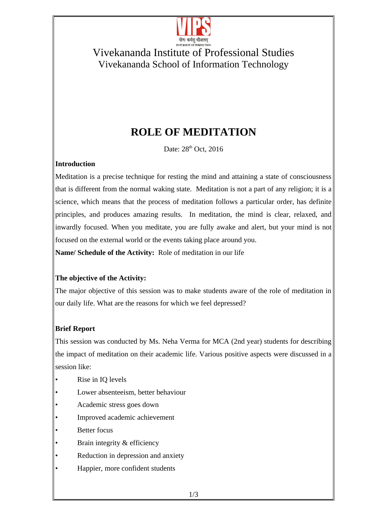

### Vivekananda Institute of Professional Studies Vivekananda School of Information Technology

# **ROLE OF MEDITATION**

Date: 28<sup>th</sup> Oct, 2016

#### **Introduction**

Meditation is a precise technique for resting the mind and attaining a state of consciousness that is different from the normal waking state. Meditation is not a part of any religion; it is a science, which means that the process of meditation follows a particular order, has definite principles, and produces amazing results. In meditation, the mind is clear, relaxed, and inwardly focused. When you meditate, you are fully awake and alert, but your mind is not focused on the external world or the events taking place around you.

**Name/ Schedule of the Activity:** Role of meditation in our life

#### **The objective of the Activity:**

The major objective of this session was to make students aware of the role of meditation in our daily life. What are the reasons for which we feel depressed?

#### **Brief Report**

This session was conducted by Ms. Neha Verma for MCA (2nd year) students for describing the impact of meditation on their academic life. Various positive aspects were discussed in a session like:

- Rise in IQ levels
- Lower absenteeism, better behaviour
- Academic stress goes down
- Improved academic achievement
- **Better focus**
- Brain integrity & efficiency
- Reduction in depression and anxiety
- Happier, more confident students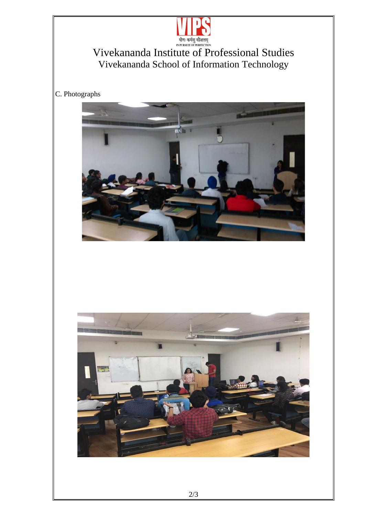

Vivekananda Institute of Professional Studies Vivekananda School of Information Technology

C. Photographs